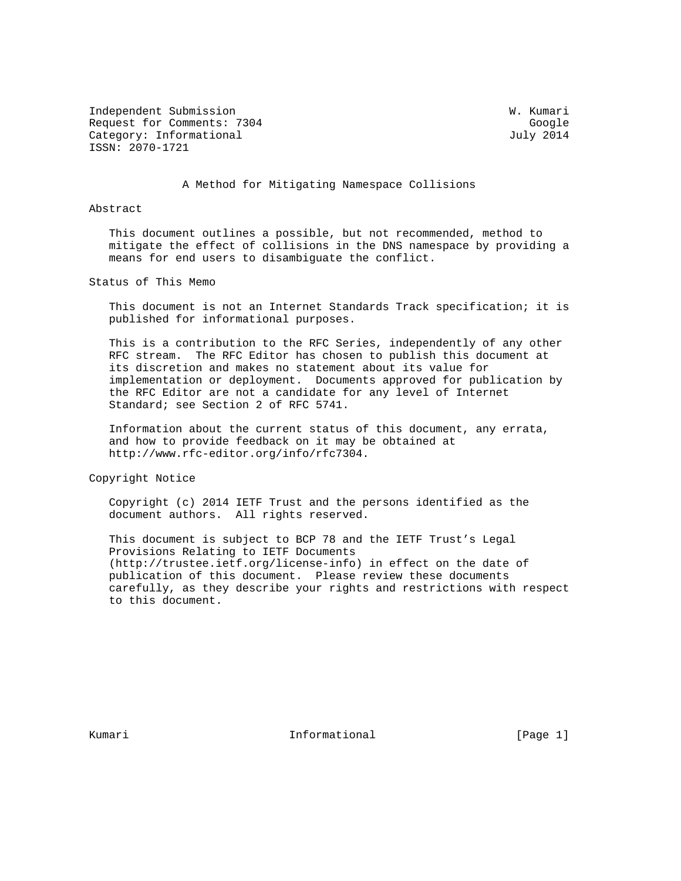Independent Submission W. Kumari Request for Comments: 7304 Google Category: Informational distribution of the United States of Tuly 2014 ISSN: 2070-1721

A Method for Mitigating Namespace Collisions

## Abstract

 This document outlines a possible, but not recommended, method to mitigate the effect of collisions in the DNS namespace by providing a means for end users to disambiguate the conflict.

Status of This Memo

 This document is not an Internet Standards Track specification; it is published for informational purposes.

 This is a contribution to the RFC Series, independently of any other RFC stream. The RFC Editor has chosen to publish this document at its discretion and makes no statement about its value for implementation or deployment. Documents approved for publication by the RFC Editor are not a candidate for any level of Internet Standard; see Section 2 of RFC 5741.

 Information about the current status of this document, any errata, and how to provide feedback on it may be obtained at http://www.rfc-editor.org/info/rfc7304.

Copyright Notice

 Copyright (c) 2014 IETF Trust and the persons identified as the document authors. All rights reserved.

 This document is subject to BCP 78 and the IETF Trust's Legal Provisions Relating to IETF Documents (http://trustee.ietf.org/license-info) in effect on the date of publication of this document. Please review these documents carefully, as they describe your rights and restrictions with respect to this document.

Kumari **Informational** Informational (Page 1)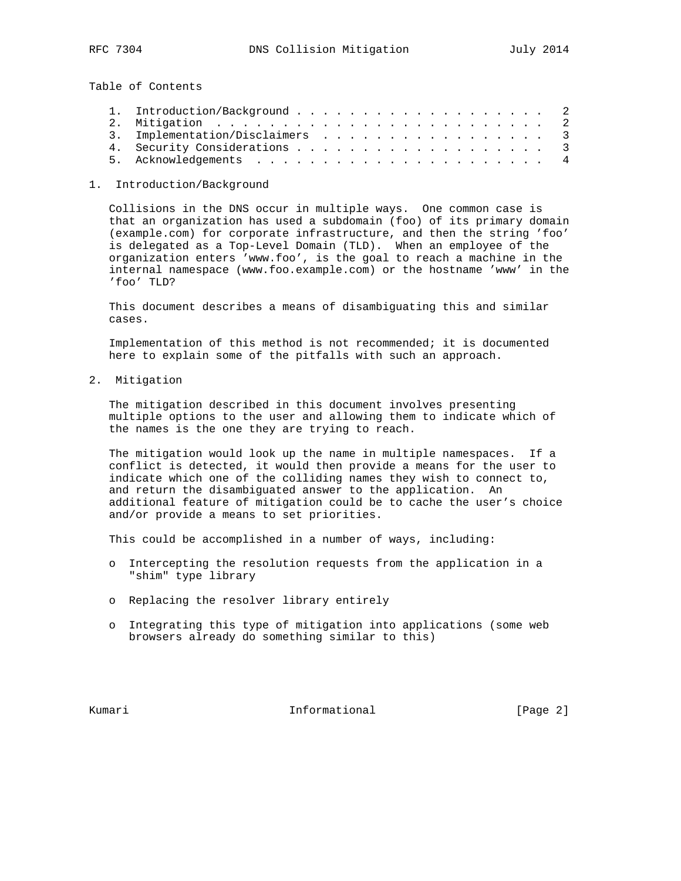Table of Contents

|  | 3. Implementation/Disclaimers 3 |  |
|--|---------------------------------|--|
|  |                                 |  |
|  |                                 |  |

## 1. Introduction/Background

 Collisions in the DNS occur in multiple ways. One common case is that an organization has used a subdomain (foo) of its primary domain (example.com) for corporate infrastructure, and then the string 'foo' is delegated as a Top-Level Domain (TLD). When an employee of the organization enters 'www.foo', is the goal to reach a machine in the internal namespace (www.foo.example.com) or the hostname 'www' in the 'foo' TLD?

 This document describes a means of disambiguating this and similar cases.

 Implementation of this method is not recommended; it is documented here to explain some of the pitfalls with such an approach.

2. Mitigation

 The mitigation described in this document involves presenting multiple options to the user and allowing them to indicate which of the names is the one they are trying to reach.

 The mitigation would look up the name in multiple namespaces. If a conflict is detected, it would then provide a means for the user to indicate which one of the colliding names they wish to connect to, and return the disambiguated answer to the application. An additional feature of mitigation could be to cache the user's choice and/or provide a means to set priorities.

This could be accomplished in a number of ways, including:

- o Intercepting the resolution requests from the application in a "shim" type library
- o Replacing the resolver library entirely
- o Integrating this type of mitigation into applications (some web browsers already do something similar to this)

Kumari **Informational** Informational [Page 2]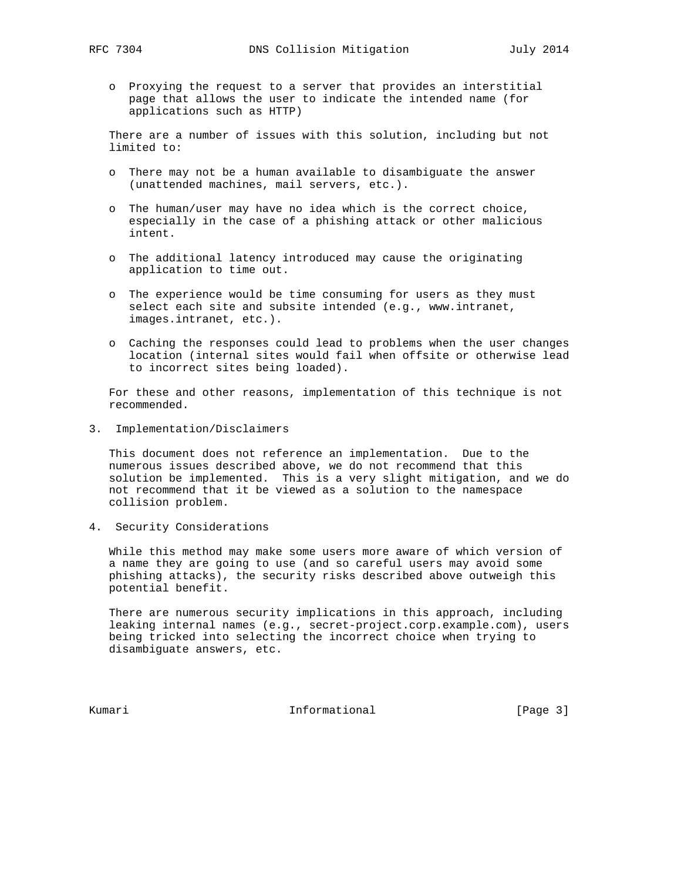o Proxying the request to a server that provides an interstitial page that allows the user to indicate the intended name (for applications such as HTTP)

 There are a number of issues with this solution, including but not limited to:

- o There may not be a human available to disambiguate the answer (unattended machines, mail servers, etc.).
- o The human/user may have no idea which is the correct choice, especially in the case of a phishing attack or other malicious intent.
- o The additional latency introduced may cause the originating application to time out.
- o The experience would be time consuming for users as they must select each site and subsite intended (e.g., www.intranet, images.intranet, etc.).
- o Caching the responses could lead to problems when the user changes location (internal sites would fail when offsite or otherwise lead to incorrect sites being loaded).

 For these and other reasons, implementation of this technique is not recommended.

3. Implementation/Disclaimers

 This document does not reference an implementation. Due to the numerous issues described above, we do not recommend that this solution be implemented. This is a very slight mitigation, and we do not recommend that it be viewed as a solution to the namespace collision problem.

4. Security Considerations

 While this method may make some users more aware of which version of a name they are going to use (and so careful users may avoid some phishing attacks), the security risks described above outweigh this potential benefit.

 There are numerous security implications in this approach, including leaking internal names (e.g., secret-project.corp.example.com), users being tricked into selecting the incorrect choice when trying to disambiguate answers, etc.

Kumari **Informational** Informational [Page 3]